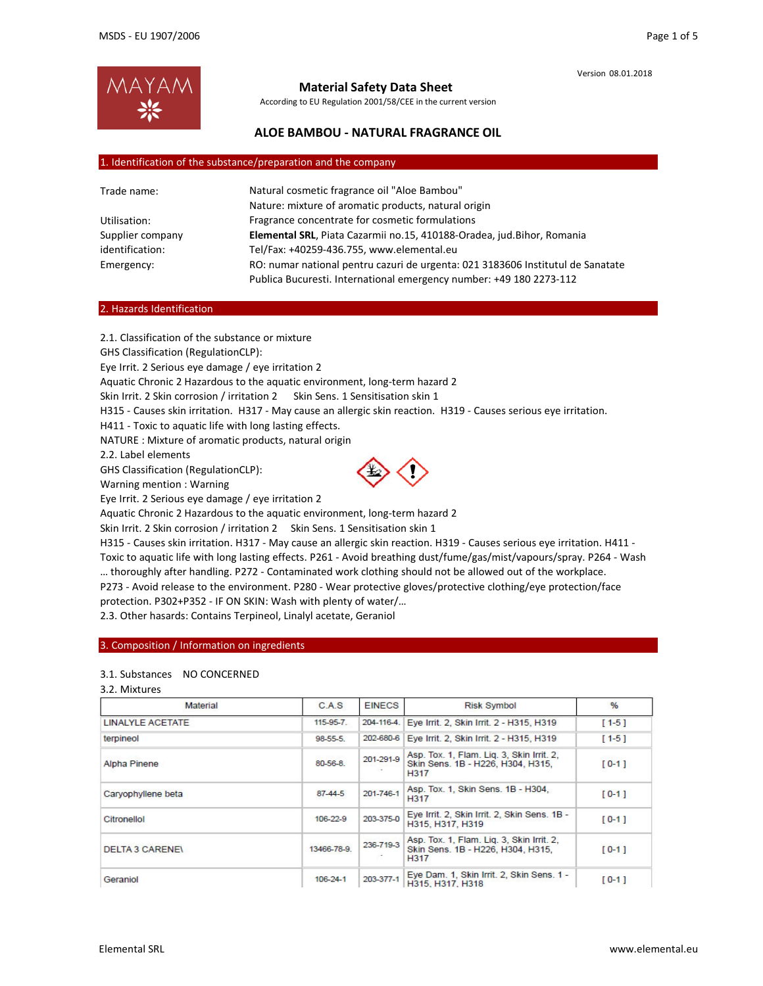

# **Material Safety Data Sheet**

According to EU Regulation 2001/58/CEE in the current version

# **ALOE BAMBOU ‐ NATURAL FRAGRANCE OIL**

### 1. Identification of the substance/preparation and the company

| Trade name:      | Natural cosmetic fragrance oil "Aloe Bambou"                                    |  |  |
|------------------|---------------------------------------------------------------------------------|--|--|
|                  | Nature: mixture of aromatic products, natural origin                            |  |  |
| Utilisation:     | Fragrance concentrate for cosmetic formulations                                 |  |  |
| Supplier company | Elemental SRL, Piata Cazarmii no.15, 410188-Oradea, jud.Bihor, Romania          |  |  |
| identification:  | Tel/Fax: +40259-436.755, www.elemental.eu                                       |  |  |
| Emergency:       | RO: numar national pentru cazuri de urgenta: 021 3183606 Institutul de Sanatate |  |  |
|                  | Publica Bucuresti. International emergency number: +49 180 2273-112             |  |  |

## 2. Hazards Identification

2.1. Classification of the substance or mixture GHS Classification (RegulationCLP): Eye Irrit. 2 Serious eye damage / eye irritation 2 Aquatic Chronic 2 Hazardous to the aquatic environment, long‐term hazard 2 Skin Irrit. 2 Skin corrosion / irritation 2 Skin Sens. 1 Sensitisation skin 1 H315 - Causes skin irritation. H317 - May cause an allergic skin reaction. H319 - Causes serious eye irritation. H411 - Toxic to aquatic life with long lasting effects. NATURE : Mixture of aromatic products, natural origin 2.2. Label elements GHS Classification (RegulationCLP): Warning mention : Warning Eye Irrit. 2 Serious eye damage / eye irritation 2

Aquatic Chronic 2 Hazardous to the aquatic environment, long‐term hazard 2

Skin Irrit. 2 Skin corrosion / irritation 2 Skin Sens. 1 Sensitisation skin 1

H315 ‐ Causes skin irritation. H317 ‐ May cause an allergic skin reaction. H319 ‐ Causes serious eye irritation. H411 ‐

Toxic to aquatic life with long lasting effects. P261 ‐ Avoid breathing dust/fume/gas/mist/vapours/spray. P264 ‐ Wash … thoroughly after handling. P272 ‐ Contaminated work clothing should not be allowed out of the workplace.

P273 ‐ Avoid release to the environment. P280 ‐ Wear protective gloves/protective clothing/eye protection/face protection. P302+P352 ‐ IF ON SKIN: Wash with plenty of water/…

2.3. Other hasards: Contains Terpineol, Linalyl acetate, Geraniol

### 3. Composition / Information on ingredients

## 3.1. Substances NO CONCERNED

|  | 3.2. Mixtures |  |
|--|---------------|--|
|--|---------------|--|

| Material                | <b>CAS</b>    | <b>EINECS</b> | <b>Risk Symbol</b>                                                                     | %         |
|-------------------------|---------------|---------------|----------------------------------------------------------------------------------------|-----------|
| <b>LINALYLE ACETATE</b> | 115-95-7.     | 204-116-4.    | Eye Irrit. 2, Skin Irrit. 2 - H315, H319                                               | $[1-5]$   |
| terpineol               | 98-55-5.      | 202-680-6     | Eye Irrit. 2, Skin Irrit. 2 - H315, H319                                               | $[1 - 5]$ |
| Alpha Pinene            | 80-56-8       | 201-291-9     | Asp. Tox. 1, Flam. Lig. 3, Skin Irrit. 2.<br>Skin Sens. 1B - H226, H304, H315,<br>H317 | $[0-1]$   |
| Caryophyllene beta      | $87 - 44 - 5$ | 201-746-1     | Asp. Tox. 1. Skin Sens. 1B - H304.<br>H317                                             | $[0-1]$   |
| Citronellol             | 106-22-9      | 203-375-0     | Eye Irrit. 2, Skin Irrit. 2, Skin Sens. 1B -<br>H315, H317, H319                       | $[0-1]$   |
| <b>DELTA 3 CARENE\</b>  | 13466-78-9.   | 236-719-3     | Asp. Tox. 1, Flam. Lig. 3, Skin Irrit. 2,<br>Skin Sens, 1B - H226, H304, H315,<br>H317 | $[0-1]$   |
| Geraniol                | 106-24-1      | 203-377-1     | Eye Dam. 1, Skin Irrit. 2, Skin Sens. 1 -<br>H315, H317, H318                          | $[0 - 1]$ |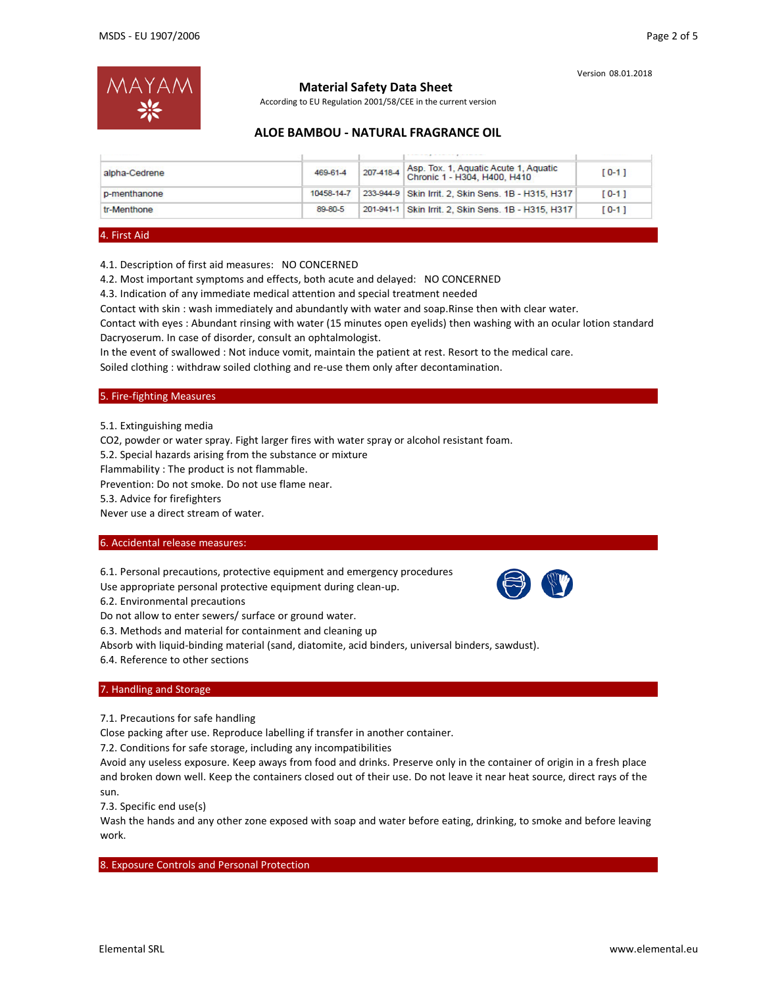

# **Material Safety Data Sheet**

According to EU Regulation 2001/58/CEE in the current version

# **ALOE BAMBOU ‐ NATURAL FRAGRANCE OIL**

| alpha-Cedrene | 469-61-4   | 207-418-4 | Asp. Tox. 1, Aquatic Acute 1, Aquatic<br>Chronic 1 - H304, H400, H410 | $[0-1]$   |
|---------------|------------|-----------|-----------------------------------------------------------------------|-----------|
| p-menthanone  | 10458-14-7 |           | 233-944-9 Skin Irrit. 2. Skin Sens. 1B - H315, H317                   | $[0-1]$   |
| tr-Menthone   | 89-80-5    |           | 201-941-1 Skin Irrit. 2, Skin Sens. 1B - H315, H317                   | $[0 - 1]$ |

#### 4. First Aid

4.1. Description of first aid measures: NO CONCERNED

4.2. Most important symptoms and effects, both acute and delayed: NO CONCERNED

4.3. Indication of any immediate medical attention and special treatment needed

Contact with skin : wash immediately and abundantly with water and soap.Rinse then with clear water.

Contact with eyes : Abundant rinsing with water (15 minutes open eyelids) then washing with an ocular lotion standard Dacryoserum. In case of disorder, consult an ophtalmologist.

In the event of swallowed : Not induce vomit, maintain the patient at rest. Resort to the medical care.

Soiled clothing : withdraw soiled clothing and re‐use them only after decontamination.

### 5. Fire‐fighting Measures

5.1. Extinguishing media

CO2, powder or water spray. Fight larger fires with water spray or alcohol resistant foam.

5.2. Special hazards arising from the substance or mixture

Flammability : The product is not flammable.

Prevention: Do not smoke. Do not use flame near.

5.3. Advice for firefighters

Never use a direct stream of water.

### 6. Accidental release measures:

6.1. Personal precautions, protective equipment and emergency procedures

Use appropriate personal protective equipment during clean‐up.

6.2. Environmental precautions

Do not allow to enter sewers/ surface or ground water.

6.3. Methods and material for containment and cleaning up

Absorb with liquid‐binding material (sand, diatomite, acid binders, universal binders, sawdust).

6.4. Reference to other sections

### 7. Handling and Storage

7.1. Precautions for safe handling

Close packing after use. Reproduce labelling if transfer in another container.

7.2. Conditions for safe storage, including any incompatibilities

Avoid any useless exposure. Keep aways from food and drinks. Preserve only in the container of origin in a fresh place and broken down well. Keep the containers closed out of their use. Do not leave it near heat source, direct rays of the sun.

7.3. Specific end use(s)

Wash the hands and any other zone exposed with soap and water before eating, drinking, to smoke and before leaving work.

### 8. Exposure Controls and Personal Protection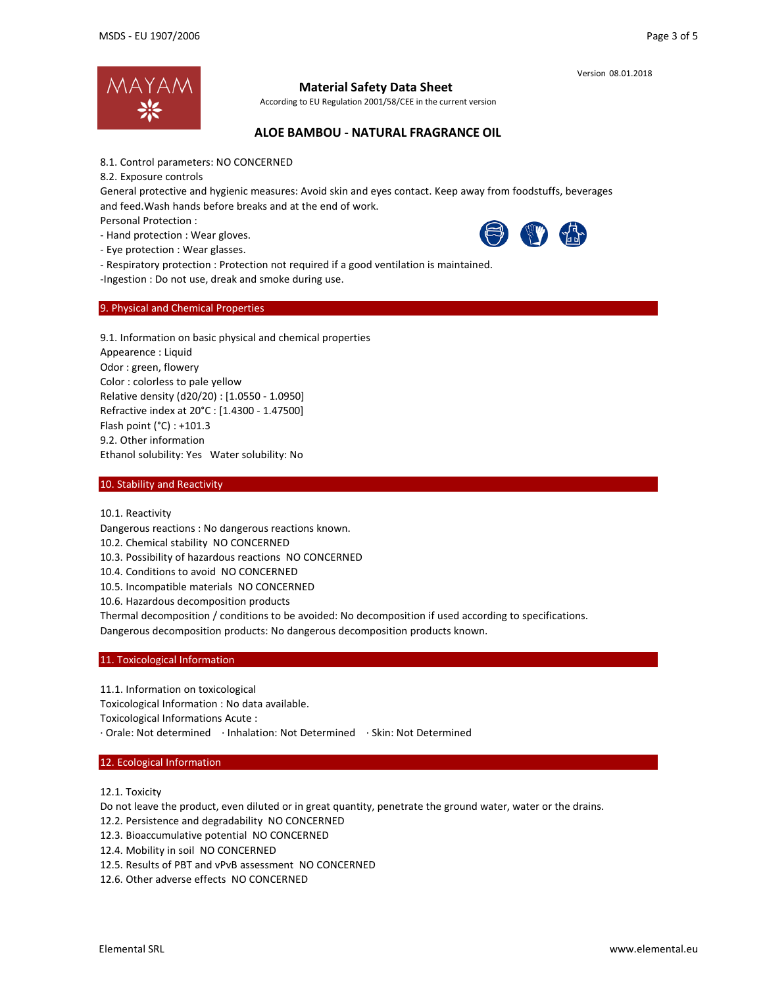



## **Material Safety Data Sheet**

According to EU Regulation 2001/58/CEE in the current version

## **ALOE BAMBOU ‐ NATURAL FRAGRANCE OIL**

8.1. Control parameters: NO CONCERNED

8.2. Exposure controls

General protective and hygienic measures: Avoid skin and eyes contact. Keep away from foodstuffs, beverages and feed.Wash hands before breaks and at the end of work.

Personal Protection :

‐ Hand protection : Wear gloves.

‐ Eye protection : Wear glasses.



‐ Respiratory protection : Protection not required if a good ventilation is maintained.

‐Ingestion : Do not use, dreak and smoke during use.

### 9. Physical and Chemical Properties

9.1. Information on basic physical and chemical properties Appearence : Liquid Odor : green, flowery Color : colorless to pale yellow Relative density (d20/20) : [1.0550 ‐ 1.0950] Refractive index at 20°C : [1.4300 ‐ 1.47500] Flash point (°C) : +101.3 9.2. Other information Ethanol solubility: Yes Water solubility: No

### 10. Stability and Reactivity

10.1. Reactivity

Dangerous reactions : No dangerous reactions known.

10.2. Chemical stability NO CONCERNED

10.3. Possibility of hazardous reactions NO CONCERNED

10.4. Conditions to avoid NO CONCERNED

10.5. Incompatible materials NO CONCERNED

10.6. Hazardous decomposition products

Thermal decomposition / conditions to be avoided: No decomposition if used according to specifications. Dangerous decomposition products: No dangerous decomposition products known.

#### 11. Toxicological Information

11.1. Information on toxicological Toxicological Information : No data available. Toxicological Informations Acute : ∙ Orale: Not determined ∙ Inhalation: Not Determined ∙ Skin: Not Determined

#### 12. Ecological Information

12.1. Toxicity

Do not leave the product, even diluted or in great quantity, penetrate the ground water, water or the drains.

- 12.2. Persistence and degradability NO CONCERNED
- 12.3. Bioaccumulative potential NO CONCERNED
- 12.4. Mobility in soil NO CONCERNED
- 12.5. Results of PBT and vPvB assessment NO CONCERNED
- 12.6. Other adverse effects NO CONCERNED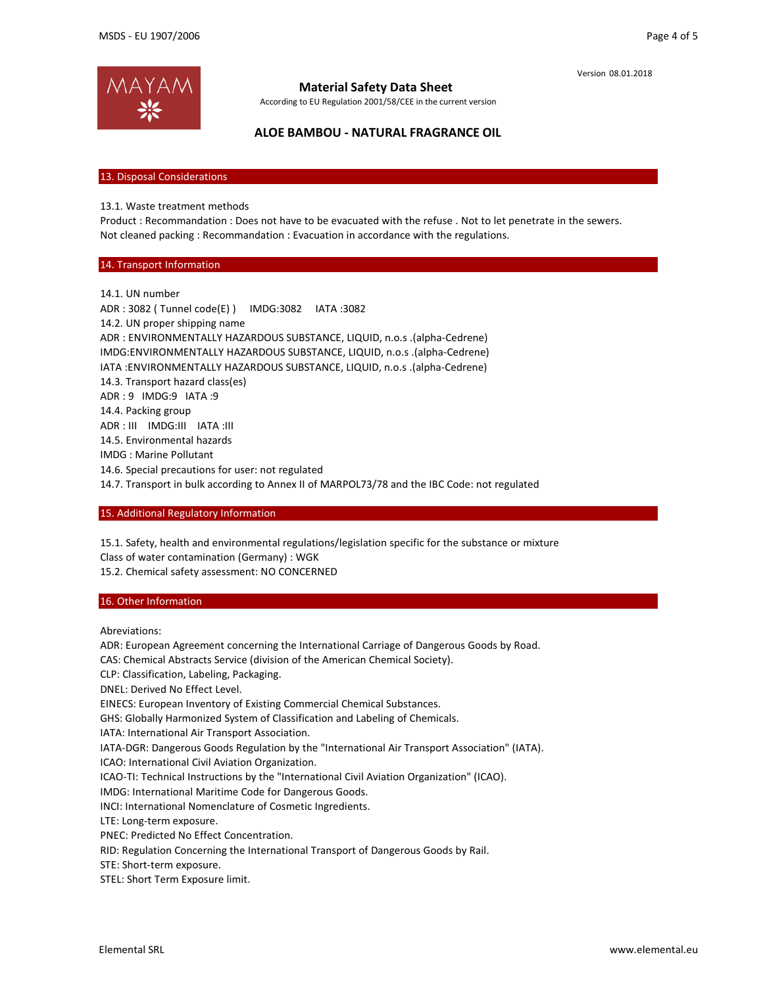

## **Material Safety Data Sheet**

According to EU Regulation 2001/58/CEE in the current version

**ALOE BAMBOU ‐ NATURAL FRAGRANCE OIL**

13. Disposal Considerations

13.1. Waste treatment methods

Product : Recommandation : Does not have to be evacuated with the refuse . Not to let penetrate in the sewers. Not cleaned packing : Recommandation : Evacuation in accordance with the regulations.

## 14. Transport Information

14.1. UN number ADR : 3082 ( Tunnel code(E) ) IMDG:3082 IATA :3082 14.2. UN proper shipping name ADR : ENVIRONMENTALLY HAZARDOUS SUBSTANCE, LIQUID, n.o.s .(alpha‐Cedrene) IMDG:ENVIRONMENTALLY HAZARDOUS SUBSTANCE, LIQUID, n.o.s .(alpha‐Cedrene) IATA :ENVIRONMENTALLY HAZARDOUS SUBSTANCE, LIQUID, n.o.s .(alpha‐Cedrene) 14.3. Transport hazard class(es) ADR : 9 IMDG:9 IATA :9 14.4. Packing group ADR : III IMDG:III IATA :III 14.5. Environmental hazards IMDG : Marine Pollutant 14.6. Special precautions for user: not regulated

14.7. Transport in bulk according to Annex II of MARPOL73/78 and the IBC Code: not regulated

## 15. Additional Regulatory Information

15.1. Safety, health and environmental regulations/legislation specific for the substance or mixture Class of water contamination (Germany) : WGK

15.2. Chemical safety assessment: NO CONCERNED

## 16. Other Information

Abreviations:

ADR: European Agreement concerning the International Carriage of Dangerous Goods by Road.

CAS: Chemical Abstracts Service (division of the American Chemical Society).

CLP: Classification, Labeling, Packaging.

DNEL: Derived No Effect Level.

EINECS: European Inventory of Existing Commercial Chemical Substances.

GHS: Globally Harmonized System of Classification and Labeling of Chemicals.

IATA: International Air Transport Association.

IATA‐DGR: Dangerous Goods Regulation by the "International Air Transport Association" (IATA).

ICAO: International Civil Aviation Organization.

ICAO-TI: Technical Instructions by the "International Civil Aviation Organization" (ICAO).

IMDG: International Maritime Code for Dangerous Goods.

INCI: International Nomenclature of Cosmetic Ingredients.

LTE: Long‐term exposure.

PNEC: Predicted No Effect Concentration.

RID: Regulation Concerning the International Transport of Dangerous Goods by Rail.

STE: Short‐term exposure.

STEL: Short Term Exposure limit.